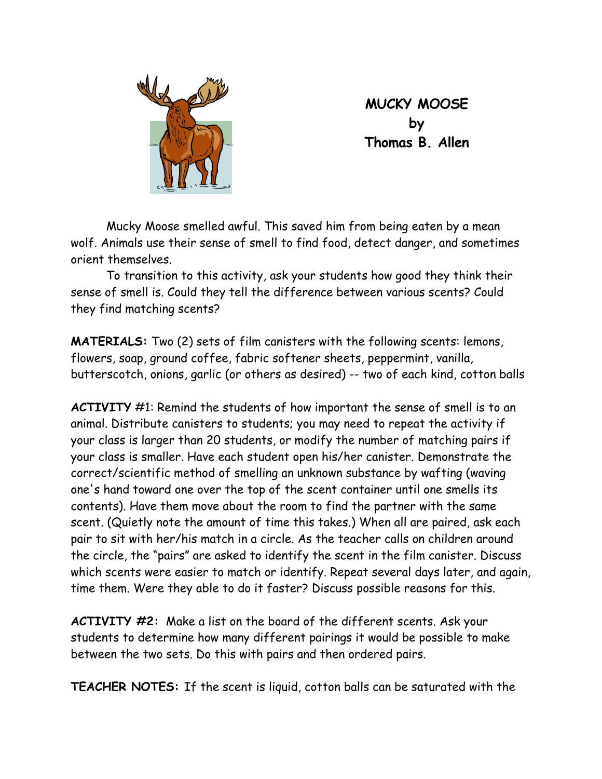

**MUCKY MOOSE by Thomas B. Allen** 

Mucky Moose smelled awful. This saved him from being eaten by a mean wolf. Animals use their sense of smell to find food, detect danger, and sometimes orient themselves.

To transition to this activity, ask your students how good they think their sense of smell is. Could they tell the difference between various scents? Could they find matching scents?

**MATERIALS:** Two (2) sets of film canisters with the following scents: lemons, flowers, soap, ground coffee, fabric softener sheets, peppermint, vanilla, butterscotch, onions, garlic (or others as desired) -- two of each kind, cotton balls

**ACTIVITY** #1: Remind the students of how important the sense of smell is to an animal. Distribute canisters to students; you may need to repeat the activity if your class is larger than 20 students, or modify the number of matching pairs if your class is smaller. Have each student open his/her canister. Demonstrate the correct/scientific method of smelling an unknown substance by wafting (waving one's hand toward one over the top of the scent container until one smells its contents). Have them move about the room to find the partner with the same scent. (Quietly note the amount of time this takes.) When all are paired, ask each pair to sit with her/his match in a circle. As the teacher calls on children around the circle, the "pairs" are asked to identify the scent in the film canister. Discuss which scents were easier to match or identify. Repeat several days later, and again, time them. Were they able to do it faster? Discuss possible reasons for this.

**ACTIVITY #2:** Make a list on the board of the different scents. Ask your students to determine how many different pairings it would be possible to make between the two sets. Do this with pairs and then ordered pairs.

**TEACHER NOTES:** If the scent is liquid, cotton balls can be saturated with the